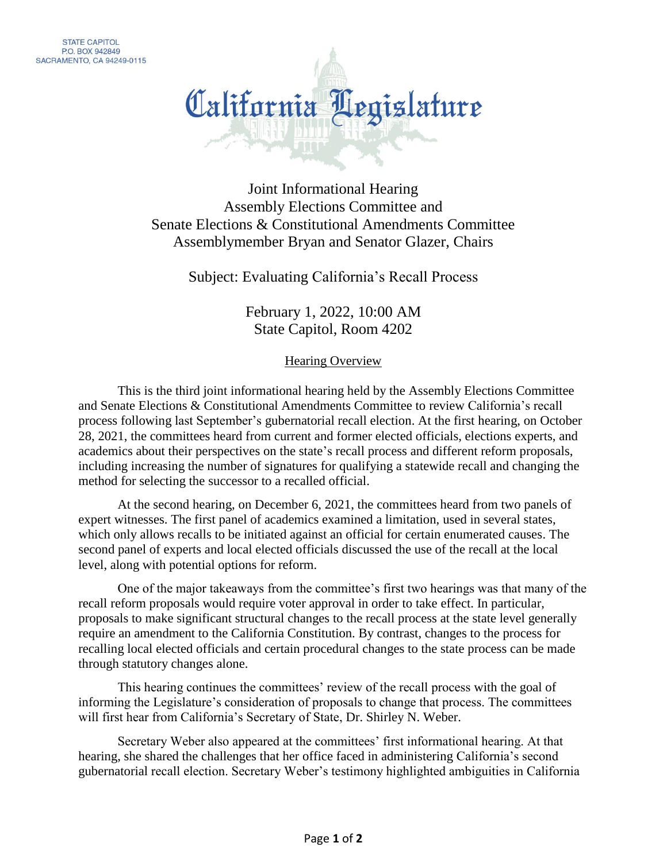

Joint Informational Hearing Assembly Elections Committee and Senate Elections & Constitutional Amendments Committee Assemblymember Bryan and Senator Glazer, Chairs

Subject: Evaluating California's Recall Process

February 1, 2022, 10:00 AM State Capitol, Room 4202

Hearing Overview

This is the third joint informational hearing held by the Assembly Elections Committee and Senate Elections & Constitutional Amendments Committee to review California's recall process following last September's gubernatorial recall election. At the first hearing, on October 28, 2021, the committees heard from current and former elected officials, elections experts, and academics about their perspectives on the state's recall process and different reform proposals, including increasing the number of signatures for qualifying a statewide recall and changing the method for selecting the successor to a recalled official.

At the second hearing, on December 6, 2021, the committees heard from two panels of expert witnesses. The first panel of academics examined a limitation, used in several states, which only allows recalls to be initiated against an official for certain enumerated causes. The second panel of experts and local elected officials discussed the use of the recall at the local level, along with potential options for reform.

One of the major takeaways from the committee's first two hearings was that many of the recall reform proposals would require voter approval in order to take effect. In particular, proposals to make significant structural changes to the recall process at the state level generally require an amendment to the California Constitution. By contrast, changes to the process for recalling local elected officials and certain procedural changes to the state process can be made through statutory changes alone.

This hearing continues the committees' review of the recall process with the goal of informing the Legislature's consideration of proposals to change that process. The committees will first hear from California's Secretary of State, Dr. Shirley N. Weber.

Secretary Weber also appeared at the committees' first informational hearing. At that hearing, she shared the challenges that her office faced in administering California's second gubernatorial recall election. Secretary Weber's testimony highlighted ambiguities in California